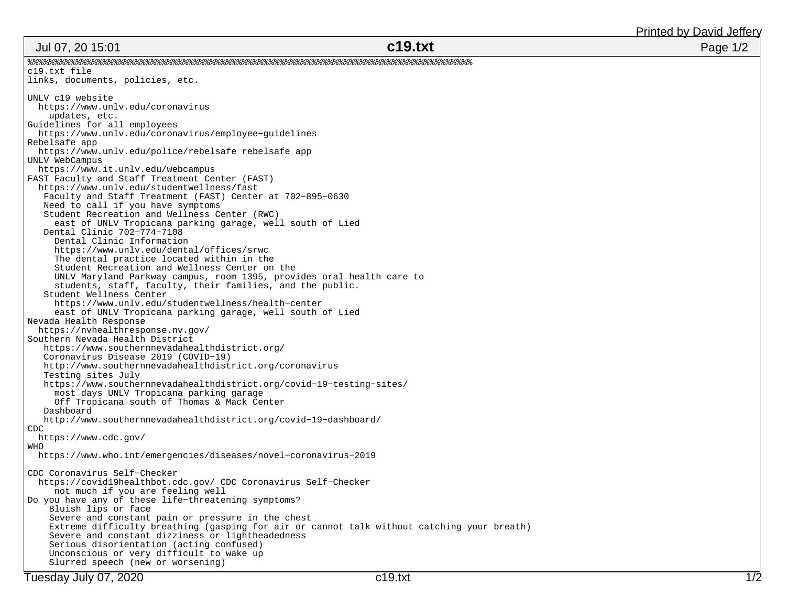## Jul 07, 20 15:01

Printed by David Jeffery

| Jul 07, 20 15:01                                                                     | c19.txt                                                                                    | Page 1/2 |
|--------------------------------------------------------------------------------------|--------------------------------------------------------------------------------------------|----------|
|                                                                                      |                                                                                            |          |
| c19.txt file                                                                         |                                                                                            |          |
| links, documents, policies, etc.                                                     |                                                                                            |          |
| UNLV c19 website                                                                     |                                                                                            |          |
| https://www.unlv.edu/coronavirus                                                     |                                                                                            |          |
| updates, etc.                                                                        |                                                                                            |          |
| Guidelines for all employees                                                         |                                                                                            |          |
| https://www.unlv.edu/coronavirus/employee-quidelines                                 |                                                                                            |          |
| Rebelsafe app                                                                        |                                                                                            |          |
| https://www.unlv.edu/police/rebelsafe rebelsafe app                                  |                                                                                            |          |
| UNLV WebCampus                                                                       |                                                                                            |          |
| https://www.it.unlv.edu/webcampus                                                    |                                                                                            |          |
| FAST Faculty and Staff Treatment Center (FAST)                                       |                                                                                            |          |
| https://www.unlv.edu/studentwellness/fast                                            |                                                                                            |          |
| Faculty and Staff Treatment (FAST) Center at 702-895-0630                            |                                                                                            |          |
| Need to call if you have symptoms                                                    |                                                                                            |          |
| Student Recreation and Wellness Center (RWC)                                         |                                                                                            |          |
| east of UNLV Tropicana parking garage, well south of Lied                            |                                                                                            |          |
| Dental Clinic 702-774-7108                                                           |                                                                                            |          |
| Dental Clinic Information                                                            |                                                                                            |          |
| https://www.unlv.edu/dental/offices/srwc                                             |                                                                                            |          |
| The dental practice located within in the                                            |                                                                                            |          |
| Student Recreation and Wellness Center on the                                        |                                                                                            |          |
| UNLV Maryland Parkway campus, room 1395, provides oral health care to                |                                                                                            |          |
| students, staff, faculty, their families, and the public.<br>Student Wellness Center |                                                                                            |          |
| https://www.unlv.edu/studentwellness/health-center                                   |                                                                                            |          |
| east of UNLV Tropicana parking garage, well south of Lied                            |                                                                                            |          |
| Nevada Health Response                                                               |                                                                                            |          |
| https://nvhealthresponse.nv.gov/                                                     |                                                                                            |          |
| Southern Nevada Health District                                                      |                                                                                            |          |
| https://www.southernnevadahealthdistrict.org/                                        |                                                                                            |          |
| Coronavirus Disease 2019 (COVID-19)                                                  |                                                                                            |          |
| http://www.southernnevadahealthdistrict.org/coronavirus                              |                                                                                            |          |
| Testing sites July                                                                   |                                                                                            |          |
| https://www.southernnevadahealthdistrict.org/covid-19-testing-sites/                 |                                                                                            |          |
| most days UNLV Tropicana parking garage                                              |                                                                                            |          |
| Off Tropicana south of Thomas & Mack Center                                          |                                                                                            |          |
| Dashboard                                                                            |                                                                                            |          |
| http://www.southernnevadahealthdistrict.org/covid-19-dashboard/                      |                                                                                            |          |
| CDC                                                                                  |                                                                                            |          |
| https://www.cdc.gov/                                                                 |                                                                                            |          |
| WHO                                                                                  |                                                                                            |          |
| https://www.who.int/emergencies/diseases/novel-coronavirus-2019                      |                                                                                            |          |
| CDC Coronavirus Self-Checker                                                         |                                                                                            |          |
| https://covid19healthbot.cdc.gov/ CDC Coronavirus Self-Checker                       |                                                                                            |          |
| not much if you are feeling well                                                     |                                                                                            |          |
| Do you have any of these life-threatening symptoms?                                  |                                                                                            |          |
| Bluish lips or face                                                                  |                                                                                            |          |
| Severe and constant pain or pressure in the chest                                    |                                                                                            |          |
|                                                                                      | Extreme difficulty breathing (gasping for air or cannot talk without catching your breath) |          |
| Severe and constant dizziness or lightheadedness                                     |                                                                                            |          |
| Serious disorientation (acting confused)                                             |                                                                                            |          |
| Unconscious or very difficult to wake up                                             |                                                                                            |          |
| Slurred speech (new or worsening)                                                    |                                                                                            |          |

Tuesday July 07, 2020